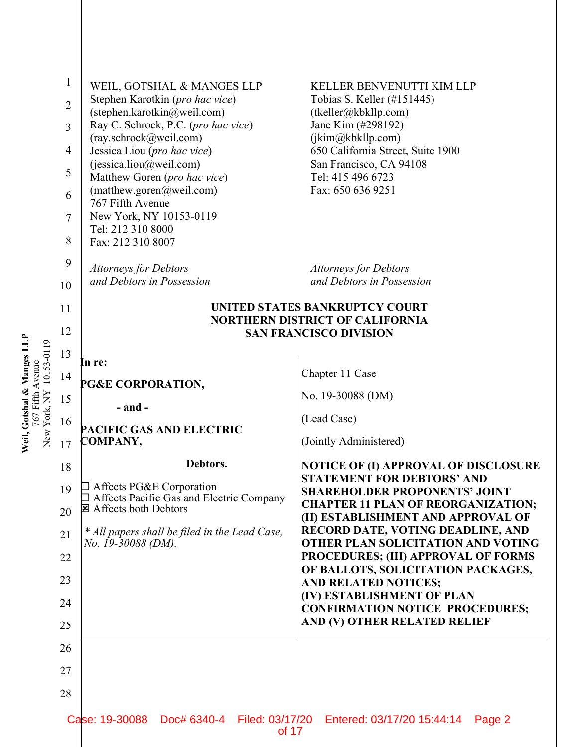|                                                       | 1<br>$\overline{2}$<br>3<br>$\overline{4}$<br>5<br>6<br>7<br>8<br>9 | WEIL, GOTSHAL & MANGES LLP<br>Stephen Karotkin (pro hac vice)<br>(stephen.karotkin@weil.com)<br>Ray C. Schrock, P.C. (pro hac vice)<br>(ray.schrock@weil.com)<br>Jessica Liou (pro hac vice)<br>(jessica.liou@weil.com)<br>Matthew Goren (pro hac vice)<br>(matthew.goren@weil.com)<br>767 Fifth Avenue<br>New York, NY 10153-0119<br>Tel: 212 310 8000<br>Fax: 212 310 8007<br><b>Attorneys for Debtors</b><br>and Debtors in Possession | KELLER BENVENUTTI KIM LLP<br>Tobias S. Keller (#151445)<br>(tkeller@kbkllp.com)<br>Jane Kim (#298192)<br>(jkim@kbkllp.com)<br>650 California Street, Suite 1900<br>San Francisco, CA 94108<br>Tel: 415 496 6723<br>Fax: 650 636 9251<br><b>Attorneys for Debtors</b><br>and Debtors in Possession |  |
|-------------------------------------------------------|---------------------------------------------------------------------|-------------------------------------------------------------------------------------------------------------------------------------------------------------------------------------------------------------------------------------------------------------------------------------------------------------------------------------------------------------------------------------------------------------------------------------------|---------------------------------------------------------------------------------------------------------------------------------------------------------------------------------------------------------------------------------------------------------------------------------------------------|--|
|                                                       | 10                                                                  |                                                                                                                                                                                                                                                                                                                                                                                                                                           |                                                                                                                                                                                                                                                                                                   |  |
|                                                       | 11                                                                  | UNITED STATES BANKRUPTCY COURT<br><b>NORTHERN DISTRICT OF CALIFORNIA</b>                                                                                                                                                                                                                                                                                                                                                                  |                                                                                                                                                                                                                                                                                                   |  |
|                                                       | 12                                                                  | <b>SAN FRANCISCO DIVISION</b>                                                                                                                                                                                                                                                                                                                                                                                                             |                                                                                                                                                                                                                                                                                                   |  |
| Weil, Gotshal & Manges LLP<br>New York, NY 10153-0119 | 13                                                                  | In re:                                                                                                                                                                                                                                                                                                                                                                                                                                    |                                                                                                                                                                                                                                                                                                   |  |
| 767 Fifth Avenue                                      | 14                                                                  | PG&E CORPORATION,                                                                                                                                                                                                                                                                                                                                                                                                                         | Chapter 11 Case                                                                                                                                                                                                                                                                                   |  |
|                                                       | 15                                                                  | $-$ and $-$                                                                                                                                                                                                                                                                                                                                                                                                                               | No. 19-30088 (DM)                                                                                                                                                                                                                                                                                 |  |
|                                                       | 16                                                                  | PACIFIC GAS AND ELECTRIC                                                                                                                                                                                                                                                                                                                                                                                                                  | (Lead Case)                                                                                                                                                                                                                                                                                       |  |
|                                                       | 17                                                                  | COMPANY,                                                                                                                                                                                                                                                                                                                                                                                                                                  | (Jointly Administered)                                                                                                                                                                                                                                                                            |  |
|                                                       | 18                                                                  | Debtors.                                                                                                                                                                                                                                                                                                                                                                                                                                  | <b>NOTICE OF (I) APPROVAL OF DISCLOSURE</b><br><b>STATEMENT FOR DEBTORS' AND</b>                                                                                                                                                                                                                  |  |
|                                                       | 19<br>20                                                            | $\Box$ Affects PG&E Corporation<br>Affects Pacific Gas and Electric Company<br><b>E</b> Affects both Debtors<br>* All papers shall be filed in the Lead Case,                                                                                                                                                                                                                                                                             | <b>SHAREHOLDER PROPONENTS' JOINT</b><br><b>CHAPTER 11 PLAN OF REORGANIZATION;</b><br>(II) ESTABLISHMENT AND APPROVAL OF<br>RECORD DATE, VOTING DEADLINE, AND<br>OTHER PLAN SOLICITATION AND VOTING<br>PROCEDURES; (III) APPROVAL OF FORMS                                                         |  |
|                                                       | 21                                                                  |                                                                                                                                                                                                                                                                                                                                                                                                                                           |                                                                                                                                                                                                                                                                                                   |  |
|                                                       | 22                                                                  | No. 19-30088 (DM).                                                                                                                                                                                                                                                                                                                                                                                                                        |                                                                                                                                                                                                                                                                                                   |  |
|                                                       | 23                                                                  |                                                                                                                                                                                                                                                                                                                                                                                                                                           | OF BALLOTS, SOLICITATION PACKAGES,<br><b>AND RELATED NOTICES;</b>                                                                                                                                                                                                                                 |  |
|                                                       | 24                                                                  |                                                                                                                                                                                                                                                                                                                                                                                                                                           | (IV) ESTABLISHMENT OF PLAN                                                                                                                                                                                                                                                                        |  |
|                                                       | 25                                                                  |                                                                                                                                                                                                                                                                                                                                                                                                                                           | <b>CONFIRMATION NOTICE PROCEDURES;</b><br>AND (V) OTHER RELATED RELIEF                                                                                                                                                                                                                            |  |
|                                                       | 26                                                                  |                                                                                                                                                                                                                                                                                                                                                                                                                                           |                                                                                                                                                                                                                                                                                                   |  |
|                                                       | 27                                                                  |                                                                                                                                                                                                                                                                                                                                                                                                                                           |                                                                                                                                                                                                                                                                                                   |  |
|                                                       | 28                                                                  |                                                                                                                                                                                                                                                                                                                                                                                                                                           |                                                                                                                                                                                                                                                                                                   |  |
|                                                       |                                                                     |                                                                                                                                                                                                                                                                                                                                                                                                                                           |                                                                                                                                                                                                                                                                                                   |  |
|                                                       |                                                                     | Case: 19-30088<br>Doc# 6340-4<br>Filed: 03/17/20<br>of 17                                                                                                                                                                                                                                                                                                                                                                                 | Entered: 03/17/20 15:44:14<br>Page 2                                                                                                                                                                                                                                                              |  |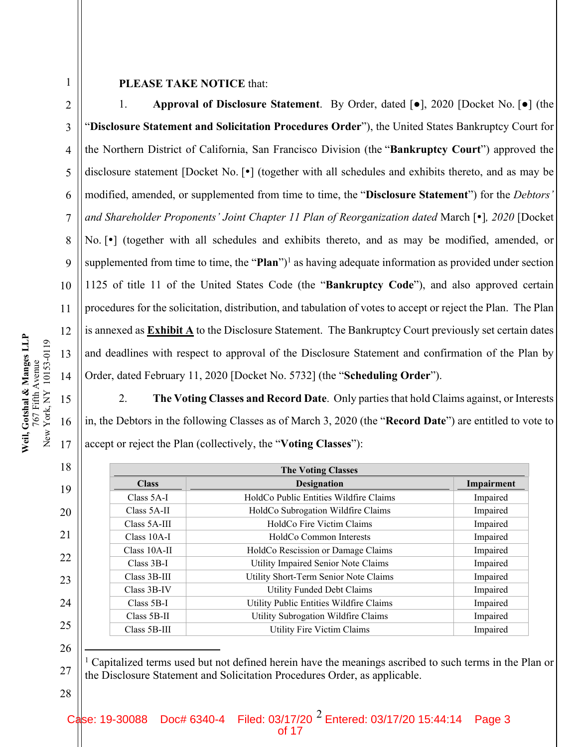4

5

6

7

8

9

10

11

12

13

14

15

16

17

18

19

20

21

22

23

24

25

26

27

28

1

## **PLEASE TAKE NOTICE** that:

1. **Approval of Disclosure Statement**. By Order, dated [●], 2020 [Docket No. [●] (the "**Disclosure Statement and Solicitation Procedures Order**"), the United States Bankruptcy Court for the Northern District of California, San Francisco Division (the "**Bankruptcy Court**") approved the disclosure statement [Docket No.  $\lceil \cdot \rceil$  (together with all schedules and exhibits thereto, and as may be modified, amended, or supplemented from time to time, the "**Disclosure Statement**") for the *Debtors' and Shareholder Proponents' Joint Chapter 11 Plan of Reorganization dated March [* $\cdot$ *], 2020 [Docket* No. [ $\bullet$ ] (together with all schedules and exhibits thereto, and as may be modified, amended, or supplemented from time to time, the "**Plan**")<sup>1</sup> as having adequate information as provided under section 1125 of title 11 of the United States Code (the "**Bankruptcy Code**"), and also approved certain procedures for the solicitation, distribution, and tabulation of votes to accept or reject the Plan. The Plan is annexed as **Exhibit A** to the Disclosure Statement. The Bankruptcy Court previously set certain dates and deadlines with respect to approval of the Disclosure Statement and confirmation of the Plan by Order, dated February 11, 2020 [Docket No. 5732] (the "**Scheduling Order**").

2. **The Voting Classes and Record Date**. Only parties that hold Claims against, or Interests in, the Debtors in the following Classes as of March 3, 2020 (the "**Record Date**") are entitled to vote to accept or reject the Plan (collectively, the "**Voting Classes**"):

| <b>The Voting Classes</b> |                                         |            |
|---------------------------|-----------------------------------------|------------|
| <b>Class</b>              | <b>Designation</b>                      | Impairment |
| Class 5A-I                | HoldCo Public Entities Wildfire Claims  | Impaired   |
| Class 5A-II               | HoldCo Subrogation Wildfire Claims      | Impaired   |
| Class 5A-III              | HoldCo Fire Victim Claims               | Impaired   |
| $Class 10A-I$             | HoldCo Common Interests                 | Impaired   |
| $Class 10A-II$            | HoldCo Rescission or Damage Claims      | Impaired   |
| $Class 3B-I$              | Utility Impaired Senior Note Claims     | Impaired   |
| Class 3B-III              | Utility Short-Term Senior Note Claims   | Impaired   |
| Class 3B-IV               | <b>Utility Funded Debt Claims</b>       | Impaired   |
| $Class 5B-I$              | Utility Public Entities Wildfire Claims | Impaired   |
| Class 5B-II               | Utility Subrogation Wildfire Claims     | Impaired   |
| Class 5B-III              | <b>Utility Fire Victim Claims</b>       | Impaired   |

<sup>1</sup> Capitalized terms used but not defined herein have the meanings ascribed to such terms in the Plan or the Disclosure Statement and Solicitation Procedures Order, as applicable.

Case: 19-30088 Doc# 6340-4 Filed: 03/17/20  $^2$  Entered: 03/17/20 15:44:14 Page 3

of 17

Weil, Gotshal & Manges LLP **Weil, Gotshal & Manges LLP** New York, NY 10153-0119 New York, NY 10153-0119 767 Fifth Avenue 767 Fifth Avenue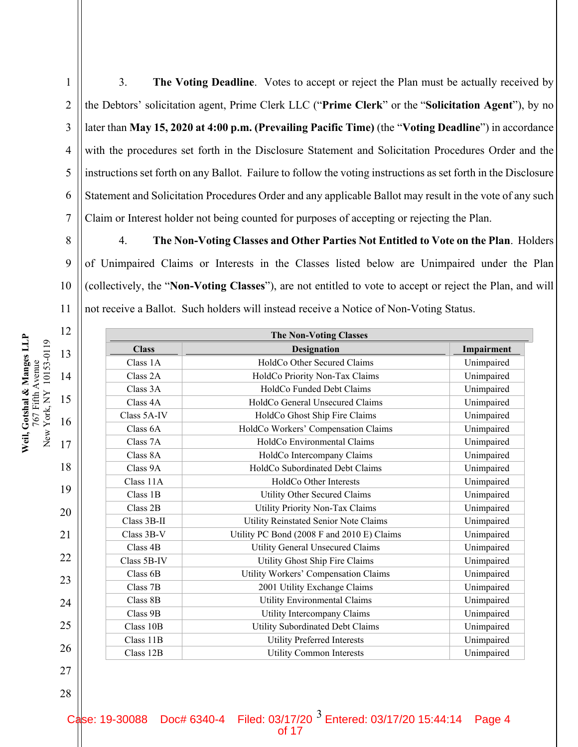2

3

4

5

6

7

17

18

19

20

21

22

23

24

25

26

27

3. **The Voting Deadline**. Votes to accept or reject the Plan must be actually received by the Debtors' solicitation agent, Prime Clerk LLC ("**Prime Clerk**" or the "**Solicitation Agent**"), by no later than **May 15, 2020 at 4:00 p.m. (Prevailing Pacific Time)** (the "**Voting Deadline**") in accordance with the procedures set forth in the Disclosure Statement and Solicitation Procedures Order and the instructions set forth on any Ballot. Failure to follow the voting instructions as set forth in the Disclosure Statement and Solicitation Procedures Order and any applicable Ballot may result in the vote of any such Claim or Interest holder not being counted for purposes of accepting or rejecting the Plan.

8 9 10 11 4. **The Non-Voting Classes and Other Parties Not Entitled to Vote on the Plan**. Holders of Unimpaired Claims or Interests in the Classes listed below are Unimpaired under the Plan (collectively, the "**Non-Voting Classes**"), are not entitled to vote to accept or reject the Plan, and will not receive a Ballot. Such holders will instead receive a Notice of Non-Voting Status.

| <b>The Non-Voting Classes</b> |                                              |            |
|-------------------------------|----------------------------------------------|------------|
| <b>Class</b>                  | <b>Designation</b>                           | Impairment |
| Class 1A                      | HoldCo Other Secured Claims                  | Unimpaired |
| Class 2A                      | HoldCo Priority Non-Tax Claims               | Unimpaired |
| Class 3A                      | HoldCo Funded Debt Claims                    | Unimpaired |
| Class 4A                      | HoldCo General Unsecured Claims              | Unimpaired |
| Class 5A-IV                   | HoldCo Ghost Ship Fire Claims                | Unimpaired |
| Class 6A                      | HoldCo Workers' Compensation Claims          | Unimpaired |
| Class 7A                      | HoldCo Environmental Claims                  | Unimpaired |
| Class 8A                      | HoldCo Intercompany Claims                   | Unimpaired |
| Class 9A                      | HoldCo Subordinated Debt Claims              | Unimpaired |
| Class 11A                     | HoldCo Other Interests                       | Unimpaired |
| Class 1B                      | <b>Utility Other Secured Claims</b>          | Unimpaired |
| Class 2B                      | Utility Priority Non-Tax Claims              | Unimpaired |
| Class 3B-II                   | <b>Utility Reinstated Senior Note Claims</b> | Unimpaired |
| Class 3B-V                    | Utility PC Bond (2008 F and 2010 E) Claims   | Unimpaired |
| Class 4B                      | Utility General Unsecured Claims             | Unimpaired |
| Class 5B-IV                   | Utility Ghost Ship Fire Claims               | Unimpaired |
| Class 6B                      | Utility Workers' Compensation Claims         | Unimpaired |
| Class 7B                      | 2001 Utility Exchange Claims                 | Unimpaired |
| Class 8B                      | Utility Environmental Claims                 | Unimpaired |
| Class 9B                      | Utility Intercompany Claims                  | Unimpaired |
| Class 10B                     | Utility Subordinated Debt Claims             | Unimpaired |
| Class 11B                     | <b>Utility Preferred Interests</b>           | Unimpaired |
| Class 12B                     | <b>Utility Common Interests</b>              | Unimpaired |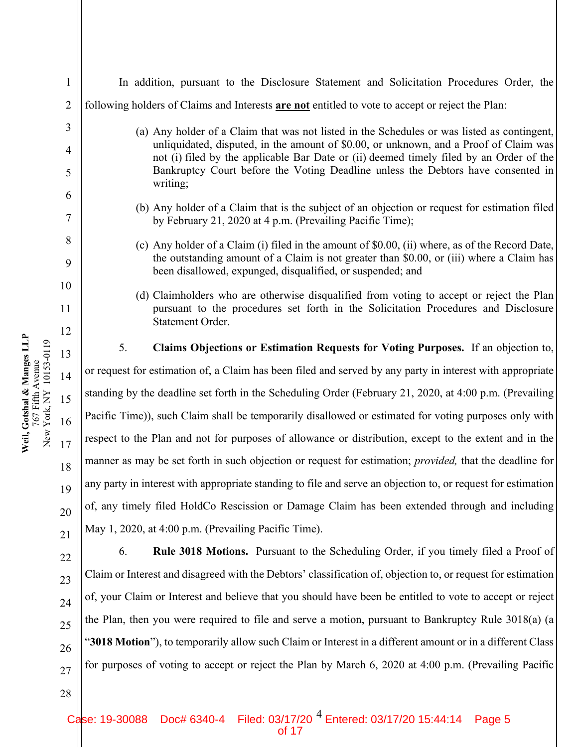| 1              | In addition, pursuant to the Disclosure Statement and Solicitation Procedures Order, the                                                                                         |  |  |  |  |
|----------------|----------------------------------------------------------------------------------------------------------------------------------------------------------------------------------|--|--|--|--|
| $\overline{2}$ | following holders of Claims and Interests are not entitled to vote to accept or reject the Plan:                                                                                 |  |  |  |  |
| 3              | (a) Any holder of a Claim that was not listed in the Schedules or was listed as contingent,                                                                                      |  |  |  |  |
| 4              | unliquidated, disputed, in the amount of \$0.00, or unknown, and a Proof of Claim was<br>not (i) filed by the applicable Bar Date or (ii) deemed timely filed by an Order of the |  |  |  |  |
| 5              | Bankruptcy Court before the Voting Deadline unless the Debtors have consented in<br>writing;                                                                                     |  |  |  |  |
| 6              |                                                                                                                                                                                  |  |  |  |  |
| $\tau$         | (b) Any holder of a Claim that is the subject of an objection or request for estimation filed<br>by February 21, 2020 at 4 p.m. (Prevailing Pacific Time);                       |  |  |  |  |
| 8              | (c) Any holder of a Claim (i) filed in the amount of \$0.00, (ii) where, as of the Record Date,                                                                                  |  |  |  |  |
| 9              | the outstanding amount of a Claim is not greater than \$0.00, or (iii) where a Claim has<br>been disallowed, expunged, disqualified, or suspended; and                           |  |  |  |  |
| 10             | (d) Claimholders who are otherwise disqualified from voting to accept or reject the Plan                                                                                         |  |  |  |  |
| 11             | pursuant to the procedures set forth in the Solicitation Procedures and Disclosure<br>Statement Order.                                                                           |  |  |  |  |
| 12             |                                                                                                                                                                                  |  |  |  |  |
| 13             | 5.<br>Claims Objections or Estimation Requests for Voting Purposes. If an objection to,                                                                                          |  |  |  |  |
| 14             | or request for estimation of, a Claim has been filed and served by any party in interest with appropriate                                                                        |  |  |  |  |
| 15             | standing by the deadline set forth in the Scheduling Order (February 21, 2020, at 4:00 p.m. (Prevailing                                                                          |  |  |  |  |
| 16             | Pacific Time)), such Claim shall be temporarily disallowed or estimated for voting purposes only with                                                                            |  |  |  |  |
| 17             | respect to the Plan and not for purposes of allowance or distribution, except to the extent and in the                                                                           |  |  |  |  |
| 18             | manner as may be set forth in such objection or request for estimation; <i>provided</i> , that the deadline for                                                                  |  |  |  |  |
| 19             | any party in interest with appropriate standing to file and serve an objection to, or request for estimation                                                                     |  |  |  |  |
| 20             | of, any timely filed HoldCo Rescission or Damage Claim has been extended through and including                                                                                   |  |  |  |  |
| 21             | May 1, 2020, at 4:00 p.m. (Prevailing Pacific Time).                                                                                                                             |  |  |  |  |
| 22             | <b>Rule 3018 Motions.</b> Pursuant to the Scheduling Order, if you timely filed a Proof of<br>6.                                                                                 |  |  |  |  |
| 23             | Claim or Interest and disagreed with the Debtors' classification of, objection to, or request for estimation                                                                     |  |  |  |  |
| 24             | of, your Claim or Interest and believe that you should have been be entitled to vote to accept or reject                                                                         |  |  |  |  |
| 25             | the Plan, then you were required to file and serve a motion, pursuant to Bankruptcy Rule 3018(a) (a                                                                              |  |  |  |  |
| 26             | "3018 Motion"), to temporarily allow such Claim or Interest in a different amount or in a different Class                                                                        |  |  |  |  |
| 27             | for purposes of voting to accept or reject the Plan by March 6, 2020 at 4:00 p.m. (Prevailing Pacific                                                                            |  |  |  |  |
|                |                                                                                                                                                                                  |  |  |  |  |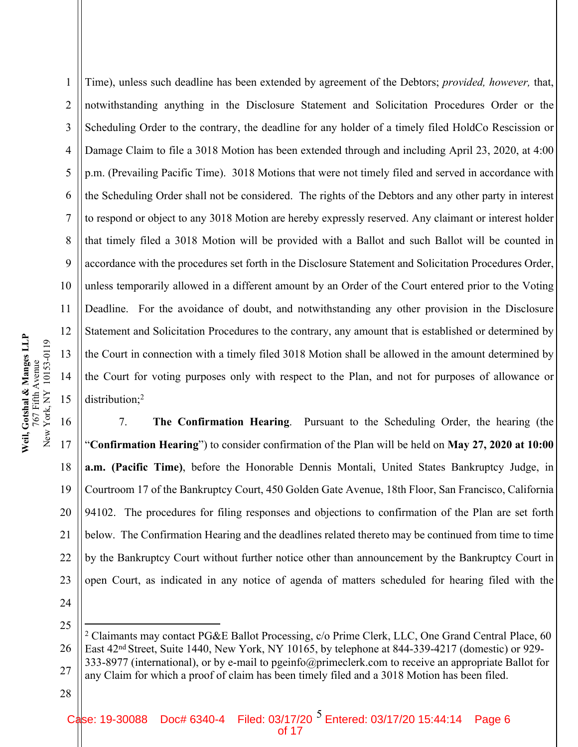17

18

19

21

1 2 3 4 5 6 7 8 9 10 11 12 13 14 15 Time), unless such deadline has been extended by agreement of the Debtors; *provided, however,* that, notwithstanding anything in the Disclosure Statement and Solicitation Procedures Order or the Scheduling Order to the contrary, the deadline for any holder of a timely filed HoldCo Rescission or Damage Claim to file a 3018 Motion has been extended through and including April 23, 2020, at 4:00 p.m. (Prevailing Pacific Time). 3018 Motions that were not timely filed and served in accordance with the Scheduling Order shall not be considered. The rights of the Debtors and any other party in interest to respond or object to any 3018 Motion are hereby expressly reserved. Any claimant or interest holder that timely filed a 3018 Motion will be provided with a Ballot and such Ballot will be counted in accordance with the procedures set forth in the Disclosure Statement and Solicitation Procedures Order, unless temporarily allowed in a different amount by an Order of the Court entered prior to the Voting Deadline. For the avoidance of doubt, and notwithstanding any other provision in the Disclosure Statement and Solicitation Procedures to the contrary, any amount that is established or determined by the Court in connection with a timely filed 3018 Motion shall be allowed in the amount determined by the Court for voting purposes only with respect to the Plan, and not for purposes of allowance or distribution;<sup>2</sup>

20 22 7. **The Confirmation Hearing**. Pursuant to the Scheduling Order, the hearing (the "**Confirmation Hearing**") to consider confirmation of the Plan will be held on **May 27, 2020 at 10:00 a.m. (Pacific Time)**, before the Honorable Dennis Montali, United States Bankruptcy Judge, in Courtroom 17 of the Bankruptcy Court, 450 Golden Gate Avenue, 18th Floor, San Francisco, California 94102. The procedures for filing responses and objections to confirmation of the Plan are set forth below. The Confirmation Hearing and the deadlines related thereto may be continued from time to time by the Bankruptcy Court without further notice other than announcement by the Bankruptcy Court in open Court, as indicated in any notice of agenda of matters scheduled for hearing filed with the

24

25

23

26 27 <sup>2</sup> Claimants may contact PG&E Ballot Processing, c/o Prime Clerk, LLC, One Grand Central Place, 60 East 42nd Street, Suite 1440, New York, NY 10165, by telephone at 844-339-4217 (domestic) or 929- 333-8977 (international), or by e-mail to pgeinfo@primeclerk.com to receive an appropriate Ballot for any Claim for which a proof of claim has been timely filed and a 3018 Motion has been filed.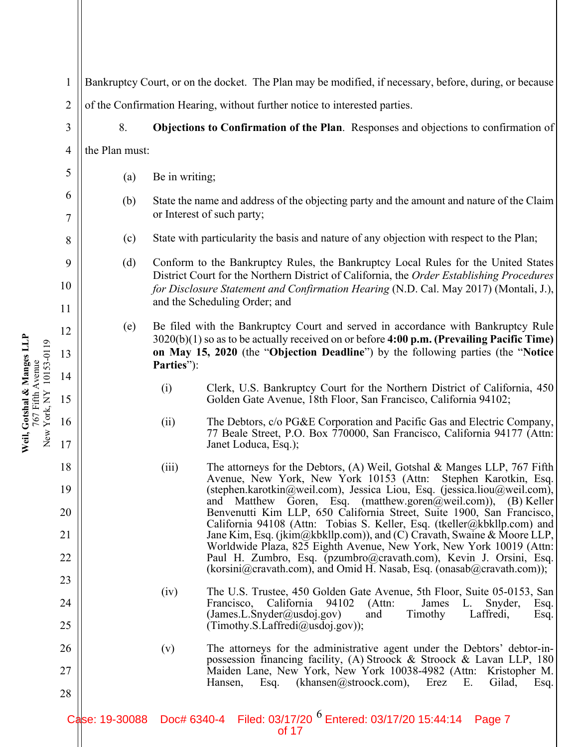1 2 3 4 5 6 7 8 9 10 11 12 13 14 15 16 17 18 19 20 21 Bankruptcy Court, or on the docket. The Plan may be modified, if necessary, before, during, or because of the Confirmation Hearing, without further notice to interested parties. 8. **Objections to Confirmation of the Plan**. Responses and objections to confirmation of the Plan must: (a) Be in writing; (b) State the name and address of the objecting party and the amount and nature of the Claim or Interest of such party; (c) State with particularity the basis and nature of any objection with respect to the Plan; (d) Conform to the Bankruptcy Rules, the Bankruptcy Local Rules for the United States District Court for the Northern District of California, the *Order Establishing Procedures for Disclosure Statement and Confirmation Hearing* (N.D. Cal. May 2017) (Montali, J.), and the Scheduling Order; and (e) Be filed with the Bankruptcy Court and served in accordance with Bankruptcy Rule 3020(b)(1) so as to be actually received on or before **4:00 p.m. (Prevailing Pacific Time) on May 15, 2020** (the "**Objection Deadline**") by the following parties (the "**Notice Parties**"): (i) Clerk, U.S. Bankruptcy Court for the Northern District of California, 450 Golden Gate Avenue, 18th Floor, San Francisco, California 94102; (ii) The Debtors, c/o PG&E Corporation and Pacific Gas and Electric Company, 77 Beale Street, P.O. Box 770000, San Francisco, California 94177 (Attn: Janet Loduca, Esq.); (iii) The attorneys for the Debtors, (A) Weil, Gotshal & Manges LLP, 767 Fifth Avenue, New York, New York 10153 (Attn: Stephen Karotkin, Esq. (stephen.karotkin@weil.com), Jessica Liou, Esq. (jessica.liou@weil.com), and Matthew Goren, Esq. (matthew.goren@weil.com)), (B) Keller Benvenutti Kim LLP, 650 California Street, Suite 1900, San Francisco, California 94108 (Attn: Tobias S. Keller, Esq. (tkeller@kbkllp.com) and Jane Kim, Esq. (jkim@kbkllp.com)), and (C) Cravath, Swaine & Moore LLP, Worldwide Plaza, 825 Eighth Avenue, New York, New York 10019 (Attn:

> (iv) The U.S. Trustee, 450 Golden Gate Avenue, 5th Floor, Suite 05-0153, San Francisco, California 94102 (Attn: James L. Snyder, Esq. (James.L.Snyder@usdoj.gov) and Timothy Laffredi, Esq.  $(Timothy.S.Laffredi@usdoj.gov)$ );

Paul H. Zumbro, Esq. (pzumbro@cravath.com), Kevin J. Orsini, Esq. (korsini@cravath.com), and Omid H. Nasab, Esq. (onasab@cravath.com));

(v) The attorneys for the administrative agent under the Debtors' debtor-inpossession financing facility, (A) Stroock & Stroock & Lavan LLP, 180 Maiden Lane, New York, New York 10038-4982 (Attn: Kristopher M. Hansen, Esq. (khansen@stroock.com), Erez E. Gilad, Esq.

Case: 19-30088 Doc# 6340-4 Filed: 03/17/20 <sup>6</sup> Entered: 03/17/20 15:44:14 Page 7 of 17

22

**Weil, Gotshal & Manges LLP** 767 Fifth Avenue New York, NY 10153-0119

Weil, Gotshal & Manges LLP<br>767 Fifth Avenue<br>New York, NY 10153-0119

23

24

25

26

27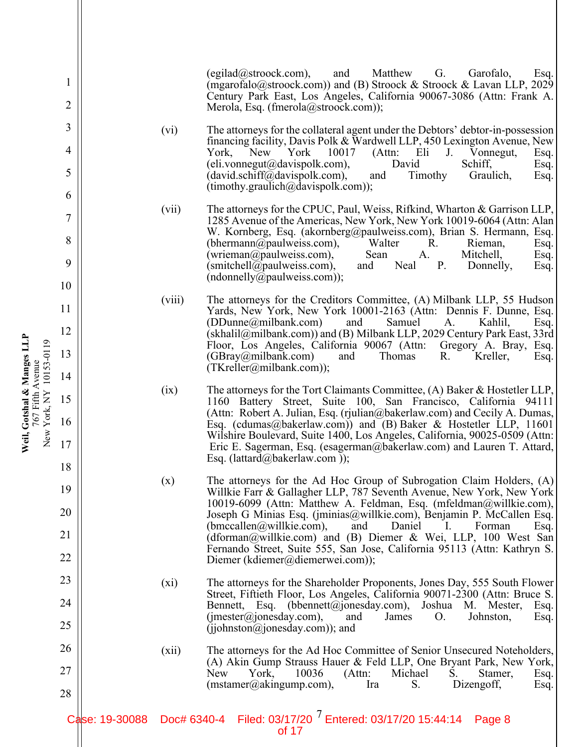|                |                |         | $(egilad@stroock.com)$ ,<br>Matthew<br>and<br>G.<br>Garofalo,<br>Esq.<br>(mgarofalo@stroock.com)) and (B) Stroock & Stroock & Lavan LLP, 2029<br>Century Park East, Los Angeles, California 90067-3086 (Attn: Frank A.<br>Merola, Esq. (fmerola@stroock.com));                                                       |
|----------------|----------------|---------|----------------------------------------------------------------------------------------------------------------------------------------------------------------------------------------------------------------------------------------------------------------------------------------------------------------------|
| 3<br>4<br>5    |                | (vi)    | The attorneys for the collateral agent under the Debtors' debtor-in-possession<br>financing facility, Davis Polk & Wardwell LLP, 450 Lexington Avenue, New<br>(Attn: Eli<br>York, New York<br>10017<br>$J_{\cdot}$<br>Vonnegut,<br>Esq.<br>David<br>Schiff,<br>$(eli.vonnegut@davispolk.com)$ ,<br>Esq.<br>Graulich, |
| 6              |                |         | $(david.schiff@davispolk.com)$ ,<br>Timothy<br>and<br>Esq.<br>$(timothy, graulich@davispolk.com)$ ;                                                                                                                                                                                                                  |
| 7              |                | (vii)   | The attorneys for the CPUC, Paul, Weiss, Rifkind, Wharton & Garrison LLP,<br>1285 Avenue of the Americas, New York, New York 10019-6064 (Attn: Alan<br>W. Kornberg, Esq. (akornberg@paulweiss.com), Brian S. Hermann, Esq.                                                                                           |
| 8<br>9         |                |         | (bhermann@paulweis.com),<br>Walter<br>R.<br>Rieman,<br>Esq.<br>(wrieman@paulweiss.com),<br>Sean<br>A.<br>Mitchell,<br>Esq.<br>$(\text{smitchell@paulweiss.com})$ ,<br>Neal<br>$P_{\cdot}$<br>Donnelly,<br>and<br>Esq.                                                                                                |
| $\overline{0}$ |                |         | (ndonnelly@paulweis.com));                                                                                                                                                                                                                                                                                           |
| 1              |                | (viii)  | The attorneys for the Creditors Committee, (A) Milbank LLP, 55 Hudson<br>Yards, New York, New York 10001-2163 (Attn: Dennis F. Dunne, Esq.<br>Samuel<br>(DDunne@milbank.com)<br>Kahlil,<br>and<br>A.<br>Esq.                                                                                                         |
| 3              |                |         | (skhalil@milbank.com)) and (B) Milbank LLP, 2029 Century Park East, 33rd<br>Floor, Los Angeles, California 90067 (Attn: Gregory A. Bray, Esq.<br>(GBray@milbank.com)<br>Thomas<br>R.<br>Kreller,<br>and<br>Esq.                                                                                                      |
| 4              |                |         | $(TKreller@milbank.com)$ ;                                                                                                                                                                                                                                                                                           |
| 5<br>6         |                | (ix)    | The attorneys for the Tort Claimants Committee, $(A)$ Baker & Hostetler LLP,<br>1160 Battery Street, Suite 100, San Francisco, California 94111<br>(Attn: Robert A. Julian, Esq. (rjulian@bakerlaw.com) and Cecily A. Dumas,                                                                                         |
| 7              |                |         | Esq. (cdumas@bakerlaw.com)) and (B) Baker & Hostetler LLP, 11601<br>Wilshire Boulevard, Suite 1400, Los Angeles, California, 90025-0509 (Attn:<br>Eric E. Sagerman, Esq. (esagerman@bakerlaw.com) and Lauren T. Attard,<br>Esq. (lattard@bakerlaw.com));                                                             |
| 8              |                |         |                                                                                                                                                                                                                                                                                                                      |
| 9<br>0         |                | (x)     | The attorneys for the Ad Hoc Group of Subrogation Claim Holders, (A)<br>Willkie Farr & Gallagher LLP, 787 Seventh Avenue, New York, New York<br>10019-6099 (Attn: Matthew A. Feldman, Esq. (mfeldman@willkie.com),                                                                                                   |
|                |                |         | Joseph G Minias Esq. (jminias@willkie.com), Benjamin P. McCallen Esq.<br>(bmccalen@willkie.com),<br>and<br>Daniel<br>$\mathbf{I}$ .<br>Forman<br>Esq.                                                                                                                                                                |
| 1              |                | $(x_i)$ | (dforman@willkie.com) and (B) Diemer & Wei, LLP, 100 West San<br>Fernando Street, Suite 555, San Jose, California 95113 (Attn: Kathryn S.<br>Diemer (kdiemer@diemerwei.com));                                                                                                                                        |
| 3              |                |         | The attorneys for the Shareholder Proponents, Jones Day, 555 South Flower                                                                                                                                                                                                                                            |
| 4              |                |         | Street, Fiftieth Floor, Los Angeles, California 90071-2300 (Attn: Bruce S.<br>Bennett, Esq. (bbennett@jonesday.com),<br>Joshua M. Mester,<br>Esq.                                                                                                                                                                    |
| 5              |                |         | (jmester@jonesday.com),<br>and<br>James<br>O.<br>Johnston,<br>Esq.<br>(ijohnston@jonesday.com)); and                                                                                                                                                                                                                 |
| 6<br>7         |                | (xii)   | The attorneys for the Ad Hoc Committee of Senior Unsecured Noteholders,<br>(A) Akin Gump Strauss Hauer & Feld LLP, One Bryant Park, New York,                                                                                                                                                                        |
| 8              |                |         | Michael<br>New<br>York,<br>10036<br>(Attn:<br>S.<br>Stamer,<br>Esq.<br>(mstamer@akingump.com),<br>S.<br>Ira<br>Dizengoff,<br>Esq.                                                                                                                                                                                    |
|                | Case: 19-30088 |         | Doc# 6340-4 Filed: 03/17/20 <sup>7</sup> Entered: 03/17/20 15:44:14<br>Page 8<br>of 17                                                                                                                                                                                                                               |

2

3

4

5

6

7

8

9

10

11

12

13

14

15

**Weil, Gotshal & Manges LLP** 767 Fifth Avenue New York, NY 10153-0119

Weil, Gotshal & Manges LLP<br>767 Fifth Avenue<br>New York, NY 10153-0119

16

17

18

19

20

21

22

23

24

25

26

27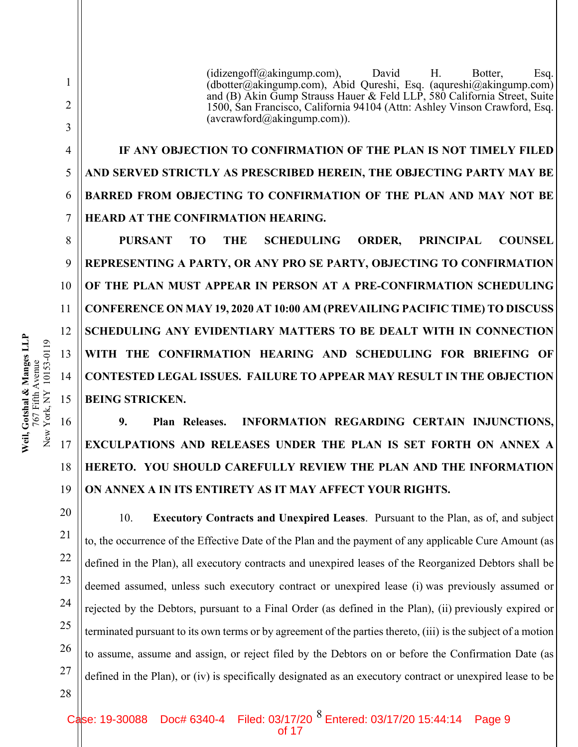(idizengoff@akingump.com), David H. Botter, Esq. (dbotter@akingump.com), Abid Qureshi, Esq. (aqureshi@akingump.com) and (B) Akin Gump Strauss Hauer & Feld LLP, 580 California Street, Suite 1500, San Francisco, California 94104 (Attn: Ashley Vinson Crawford, Esq.  $(avcrawford@akingump.com)$ ).

**IF ANY OBJECTION TO CONFIRMATION OF THE PLAN IS NOT TIMELY FILED AND SERVED STRICTLY AS PRESCRIBED HEREIN, THE OBJECTING PARTY MAY BE BARRED FROM OBJECTING TO CONFIRMATION OF THE PLAN AND MAY NOT BE HEARD AT THE CONFIRMATION HEARING.** 

**PURSANT TO THE SCHEDULING ORDER, PRINCIPAL COUNSEL REPRESENTING A PARTY, OR ANY PRO SE PARTY, OBJECTING TO CONFIRMATION OF THE PLAN MUST APPEAR IN PERSON AT A PRE-CONFIRMATION SCHEDULING CONFERENCE ON MAY 19, 2020 AT 10:00 AM (PREVAILING PACIFIC TIME) TO DISCUSS SCHEDULING ANY EVIDENTIARY MATTERS TO BE DEALT WITH IN CONNECTION WITH THE CONFIRMATION HEARING AND SCHEDULING FOR BRIEFING OF CONTESTED LEGAL ISSUES. FAILURE TO APPEAR MAY RESULT IN THE OBJECTION BEING STRICKEN.**

**9. Plan Releases. INFORMATION REGARDING CERTAIN INJUNCTIONS, EXCULPATIONS AND RELEASES UNDER THE PLAN IS SET FORTH ON ANNEX A HERETO. YOU SHOULD CAREFULLY REVIEW THE PLAN AND THE INFORMATION ON ANNEX A IN ITS ENTIRETY AS IT MAY AFFECT YOUR RIGHTS.**

10. **Executory Contracts and Unexpired Leases**. Pursuant to the Plan, as of, and subject to, the occurrence of the Effective Date of the Plan and the payment of any applicable Cure Amount (as defined in the Plan), all executory contracts and unexpired leases of the Reorganized Debtors shall be deemed assumed, unless such executory contract or unexpired lease (i) was previously assumed or rejected by the Debtors, pursuant to a Final Order (as defined in the Plan), (ii) previously expired or terminated pursuant to its own terms or by agreement of the parties thereto, (iii) is the subject of a motion to assume, assume and assign, or reject filed by the Debtors on or before the Confirmation Date (as defined in the Plan), or (iv) is specifically designated as an executory contract or unexpired lease to be

Case: 19-30088 Doc# 6340-4 Filed: 03/17/20  $^8$  Entered: 03/17/20 15:44:14 Page 9 of 17

1

2

3

4

5

6

7

8

9

10

11

12

13

14

15

16

17

18

19

20

21

22

23

24

25

26

27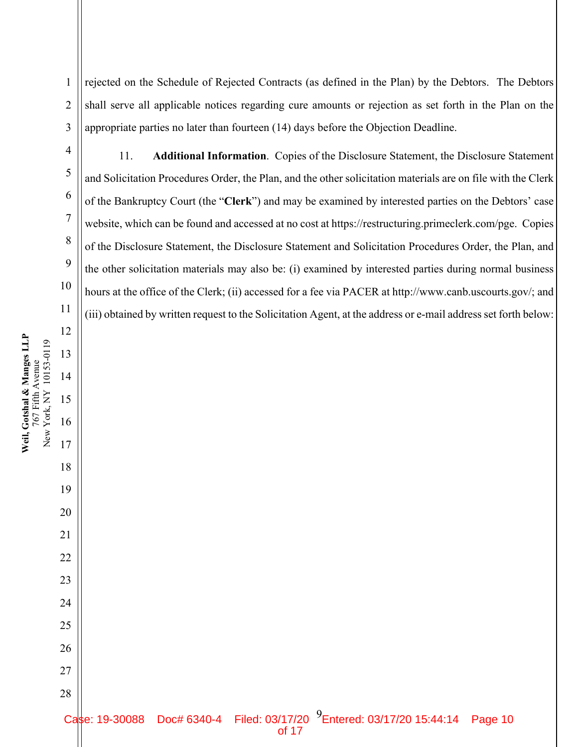rejected on the Schedule of Rejected Contracts (as defined in the Plan) by the Debtors. The Debtors shall serve all applicable notices regarding cure amounts or rejection as set forth in the Plan on the appropriate parties no later than fourteen (14) days before the Objection Deadline.

11. **Additional Information**. Copies of the Disclosure Statement, the Disclosure Statement and Solicitation Procedures Order, the Plan, and the other solicitation materials are on file with the Clerk of the Bankruptcy Court (the "**Clerk**") and may be examined by interested parties on the Debtors' case website, which can be found and accessed at no cost at https://restructuring.primeclerk.com/pge. Copies of the Disclosure Statement, the Disclosure Statement and Solicitation Procedures Order, the Plan, and the other solicitation materials may also be: (i) examined by interested parties during normal business hours at the office of the Clerk; (ii) accessed for a fee via PACER at http://www.canb.uscourts.gov/; and (iii) obtained by written request to the Solicitation Agent, at the address or e-mail address set forth below: